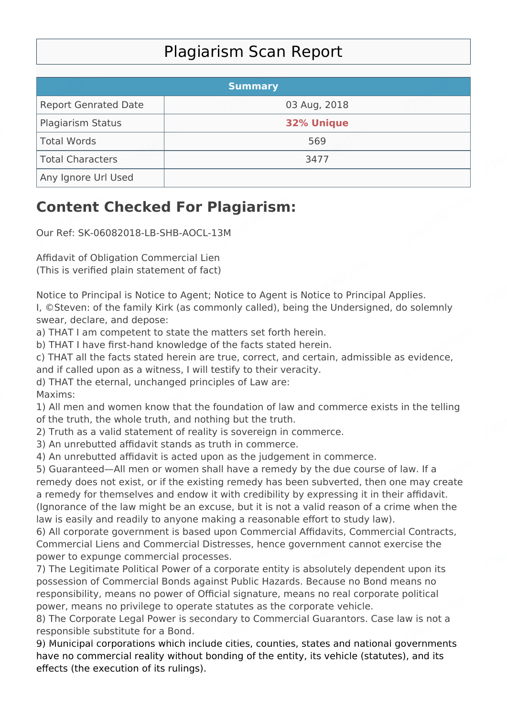## Plagiarism Scan Report

|                             | <b>Summary</b>    |  |
|-----------------------------|-------------------|--|
| <b>Report Genrated Date</b> | 03 Aug, 2018      |  |
| Plagiarism Status           | <b>32% Unique</b> |  |
| Total Words                 | 569               |  |
| Total Characters            | 3477              |  |
| Any Ignore Url Used         |                   |  |

## **Content Checked For Plagiarism:**

Our Ref: SK-06082018-LB-SHB-AOCL-13M

Affidavit of Obligation Commercial Lien (This is verified plain statement of fact)

Notice to Principal is Notice to Agent; Notice to Agent is Notice to Principal Applies. I, ©Steven: of the family Kirk (as commonly called), being the Undersigned, do solemnly swear, declare, and depose:

a) THAT I am competent to state the matters set forth herein.

b) THAT I have first-hand knowledge of the facts stated herein.

c) THAT all the facts stated herein are true, correct, and certain, admissible as evidence,

and if called upon as a witness, I will testify to their veracity.

d) THAT the eternal, unchanged principles of Law are:

Maxims:

1) All men and women know that the foundation of law and commerce exists in the telling of the truth, the whole truth, and nothing but the truth.

2) Truth as a valid statement of reality is sovereign in commerce.

3) An unrebutted affidavit stands as truth in commerce.

4) An unrebutted affidavit is acted upon as the judgement in commerce.

5) Guaranteed—All men or women shall have a remedy by the due course of law. If a remedy does not exist, or if the existing remedy has been subverted, then one may create a remedy for themselves and endow it with credibility by expressing it in their affidavit. (Ignorance of the law might be an excuse, but it is not a valid reason of a crime when the law is easily and readily to anyone making a reasonable effort to study law).

6) All corporate government is based upon Commercial Affidavits, Commercial Contracts, Commercial Liens and Commercial Distresses, hence government cannot exercise the power to expunge commercial processes.

7) The Legitimate Political Power of a corporate entity is absolutely dependent upon its possession of Commercial Bonds against Public Hazards. Because no Bond means no responsibility, means no power of Official signature, means no real corporate political power, means no privilege to operate statutes as the corporate vehicle.

8) The Corporate Legal Power is secondary to Commercial Guarantors. Case law is not a responsible substitute for a Bond.

9) Municipal corporations which include cities, counties, states and national governments have no commercial reality without bonding of the entity, its vehicle (statutes), and its effects (the execution of its rulings).